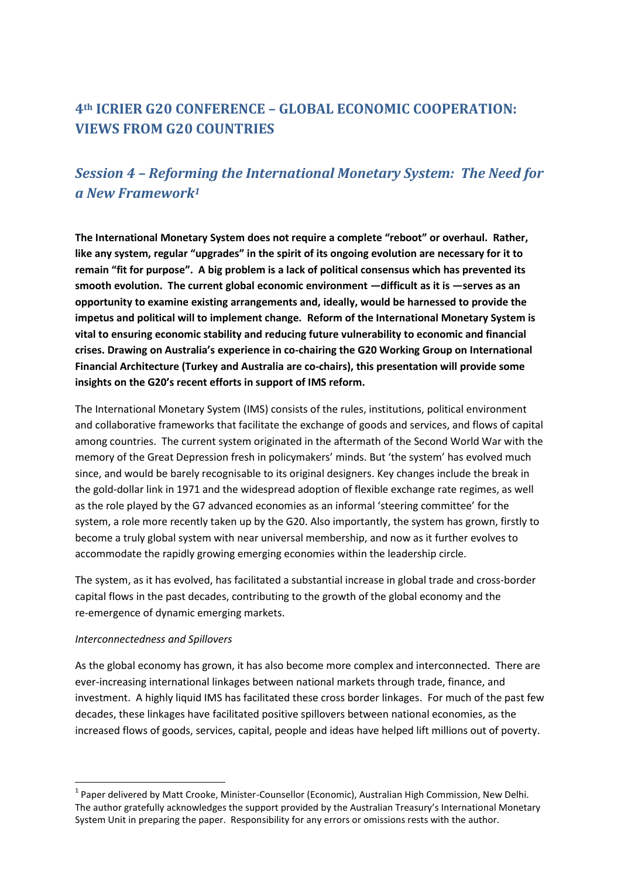# **4th ICRIER G20 CONFERENCE – GLOBAL ECONOMIC COOPERATION: VIEWS FROM G20 COUNTRIES**

## *Session 4 – Reforming the International Monetary System: The Need for a New Framework<sup>1</sup>*

**The International Monetary System does not require a complete "reboot" or overhaul. Rather, like any system, regular "upgrades" in the spirit of its ongoing evolution are necessary for it to remain "fit for purpose". A big problem is a lack of political consensus which has prevented its smooth evolution. The current global economic environment —difficult as it is —serves as an opportunity to examine existing arrangements and, ideally, would be harnessed to provide the impetus and political will to implement change. Reform of the International Monetary System is vital to ensuring economic stability and reducing future vulnerability to economic and financial crises. Drawing on Australia's experience in co-chairing the G20 Working Group on International Financial Architecture (Turkey and Australia are co-chairs), this presentation will provide some insights on the G20's recent efforts in support of IMS reform.**

The International Monetary System (IMS) consists of the rules, institutions, political environment and collaborative frameworks that facilitate the exchange of goods and services, and flows of capital among countries. The current system originated in the aftermath of the Second World War with the memory of the Great Depression fresh in policymakers' minds. But 'the system' has evolved much since, and would be barely recognisable to its original designers. Key changes include the break in the gold-dollar link in 1971 and the widespread adoption of flexible exchange rate regimes, as well as the role played by the G7 advanced economies as an informal 'steering committee' for the system, a role more recently taken up by the G20. Also importantly, the system has grown, firstly to become a truly global system with near universal membership, and now as it further evolves to accommodate the rapidly growing emerging economies within the leadership circle.

The system, as it has evolved, has facilitated a substantial increase in global trade and cross-border capital flows in the past decades, contributing to the growth of the global economy and the re-emergence of dynamic emerging markets.

#### *Interconnectedness and Spillovers*

1

As the global economy has grown, it has also become more complex and interconnected. There are ever-increasing international linkages between national markets through trade, finance, and investment. A highly liquid IMS has facilitated these cross border linkages. For much of the past few decades, these linkages have facilitated positive spillovers between national economies, as the increased flows of goods, services, capital, people and ideas have helped lift millions out of poverty.

<sup>&</sup>lt;sup>1</sup> Paper delivered by Matt Crooke, Minister-Counsellor (Economic), Australian High Commission, New Delhi. The author gratefully acknowledges the support provided by the Australian Treasury's International Monetary System Unit in preparing the paper. Responsibility for any errors or omissions rests with the author.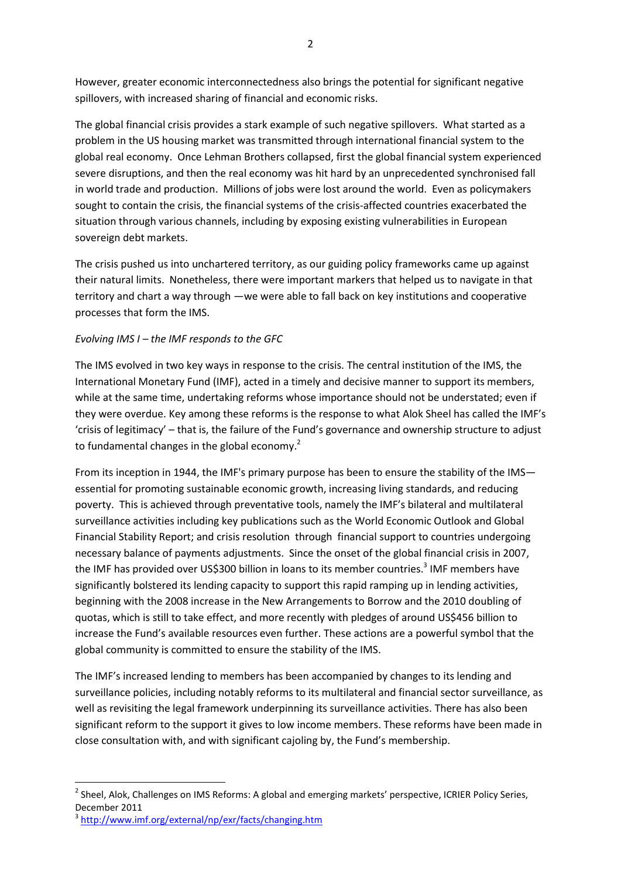However, greater economic interconnectedness also brings the potential for significant negative spillovers, with increased sharing of financial and economic risks.

The global financial crisis provides a stark example of such negative spillovers. What started as a problem in the US housing market was transmitted through international financial system to the global real economy. Once Lehman Brothers collapsed, first the global financial system experienced severe disruptions, and then the real economy was hit hard by an unprecedented synchronised fall in world trade and production. Millions of jobs were lost around the world. Even as policymakers sought to contain the crisis, the financial systems of the crisis-affected countries exacerbated the situation through various channels, including by exposing existing vulnerabilities in European sovereign debt markets.

The crisis pushed us into unchartered territory, as our guiding policy frameworks came up against their natural limits. Nonetheless, there were important markers that helped us to navigate in that territory and chart a way through —we were able to fall back on key institutions and cooperative processes that form the IMS.

#### *Evolving IMS I – the IMF responds to the GFC*

The IMS evolved in two key ways in response to the crisis. The central institution of the IMS, the International Monetary Fund (IMF), acted in a timely and decisive manner to support its members, while at the same time, undertaking reforms whose importance should not be understated; even if they were overdue. Key among these reforms is the response to what Alok Sheel has called the IMF's 'crisis of legitimacy' – that is, the failure of the Fund's governance and ownership structure to adjust to fundamental changes in the global economy.<sup>2</sup>

From its inception in 1944, the IMF's primary purpose has been to ensure the stability of the IMS essential for promoting sustainable economic growth, increasing living standards, and reducing poverty. This is achieved through preventative tools, namely the IMF's bilateral and multilateral surveillance activities including key publications such as the World Economic Outlook and Global Financial Stability Report; and crisis resolution through financial support to countries undergoing necessary balance of payments adjustments. Since the onset of the global financial crisis in 2007, the IMF has provided over US\$300 billion in loans to its member countries.<sup>3</sup> IMF members have significantly bolstered its lending capacity to support this rapid ramping up in lending activities, beginning with the 2008 increase in the New Arrangements to Borrow and the 2010 doubling of quotas, which is still to take effect, and more recently with pledges of around US\$456 billion to increase the Fund's available resources even further. These actions are a powerful symbol that the global community is committed to ensure the stability of the IMS.

The IMF's increased lending to members has been accompanied by changes to its lending and surveillance policies, including notably reforms to its multilateral and financial sector surveillance, as well as revisiting the legal framework underpinning its surveillance activities. There has also been significant reform to the support it gives to low income members. These reforms have been made in close consultation with, and with significant cajoling by, the Fund's membership.

1

<sup>&</sup>lt;sup>2</sup> Sheel, Alok, Challenges on IMS Reforms: A global and emerging markets' perspective, ICRIER Policy Series, December 2011

<sup>&</sup>lt;sup>3</sup><http://www.imf.org/external/np/exr/facts/changing.htm>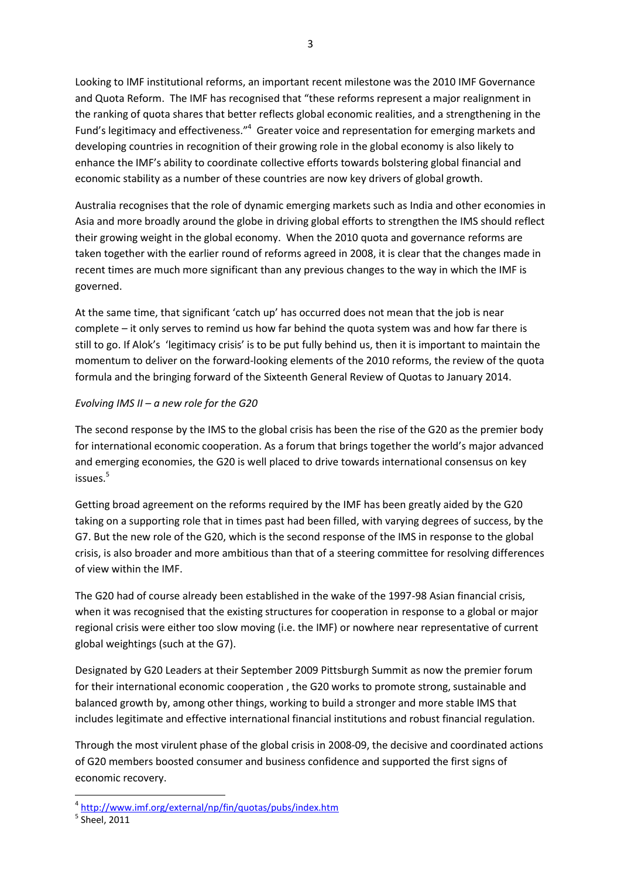Looking to IMF institutional reforms, an important recent milestone was the 2010 IMF Governance and Quota Reform. The IMF has recognised that "these reforms represent a major realignment in the ranking of quota shares that better reflects global economic realities, and a strengthening in the Fund's legitimacy and effectiveness."<sup>4</sup> Greater voice and representation for emerging markets and developing countries in recognition of their growing role in the global economy is also likely to enhance the IMF's ability to coordinate collective efforts towards bolstering global financial and economic stability as a number of these countries are now key drivers of global growth.

Australia recognises that the role of dynamic emerging markets such as India and other economies in Asia and more broadly around the globe in driving global efforts to strengthen the IMS should reflect their growing weight in the global economy. When the 2010 quota and governance reforms are taken together with the earlier round of reforms agreed in 2008, it is clear that the changes made in recent times are much more significant than any previous changes to the way in which the IMF is governed.

At the same time, that significant 'catch up' has occurred does not mean that the job is near complete – it only serves to remind us how far behind the quota system was and how far there is still to go. If Alok's 'legitimacy crisis' is to be put fully behind us, then it is important to maintain the momentum to deliver on the forward-looking elements of the 2010 reforms, the review of the quota formula and the bringing forward of the Sixteenth General Review of Quotas to January 2014.

### *Evolving IMS II – a new role for the G20*

The second response by the IMS to the global crisis has been the rise of the G20 as the premier body for international economic cooperation. As a forum that brings together the world's major advanced and emerging economies, the G20 is well placed to drive towards international consensus on key issues.<sup>5</sup>

Getting broad agreement on the reforms required by the IMF has been greatly aided by the G20 taking on a supporting role that in times past had been filled, with varying degrees of success, by the G7. But the new role of the G20, which is the second response of the IMS in response to the global crisis, is also broader and more ambitious than that of a steering committee for resolving differences of view within the IMF.

The G20 had of course already been established in the wake of the 1997-98 Asian financial crisis, when it was recognised that the existing structures for cooperation in response to a global or major regional crisis were either too slow moving (i.e. the IMF) or nowhere near representative of current global weightings (such at the G7).

Designated by G20 Leaders at their September 2009 Pittsburgh Summit as now the premier forum for their international economic cooperation , the G20 works to promote strong, sustainable and balanced growth by, among other things, working to build a stronger and more stable IMS that includes legitimate and effective international financial institutions and robust financial regulation.

Through the most virulent phase of the global crisis in 2008-09, the decisive and coordinated actions of G20 members boosted consumer and business confidence and supported the first signs of economic recovery.

**.** 

<sup>4</sup> <http://www.imf.org/external/np/fin/quotas/pubs/index.htm>

 $<sup>5</sup>$  Sheel, 2011</sup>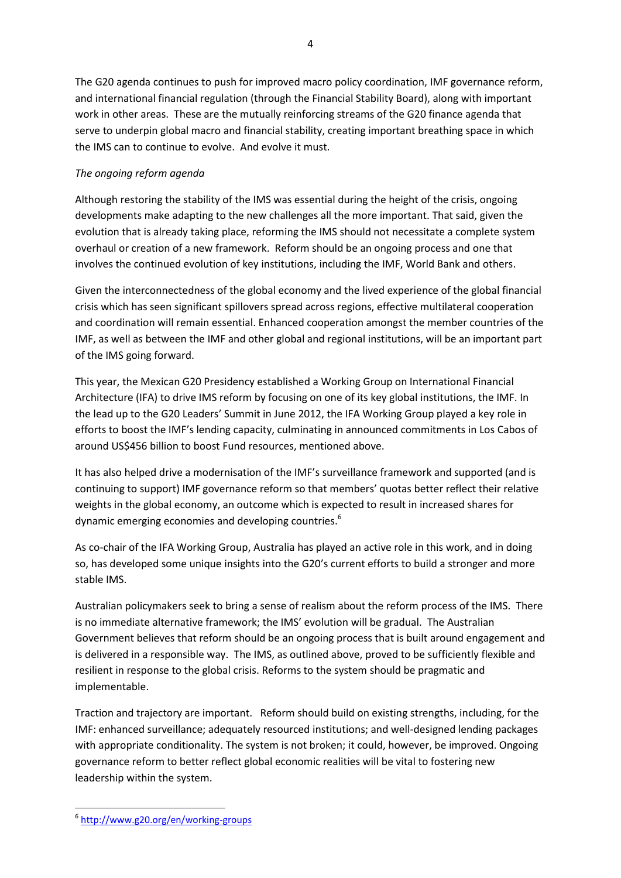The G20 agenda continues to push for improved macro policy coordination, IMF governance reform, and international financial regulation (through the Financial Stability Board), along with important work in other areas. These are the mutually reinforcing streams of the G20 finance agenda that serve to underpin global macro and financial stability, creating important breathing space in which the IMS can to continue to evolve. And evolve it must.

## *The ongoing reform agenda*

Although restoring the stability of the IMS was essential during the height of the crisis, ongoing developments make adapting to the new challenges all the more important. That said, given the evolution that is already taking place, reforming the IMS should not necessitate a complete system overhaul or creation of a new framework. Reform should be an ongoing process and one that involves the continued evolution of key institutions, including the IMF, World Bank and others.

Given the interconnectedness of the global economy and the lived experience of the global financial crisis which has seen significant spillovers spread across regions, effective multilateral cooperation and coordination will remain essential. Enhanced cooperation amongst the member countries of the IMF, as well as between the IMF and other global and regional institutions, will be an important part of the IMS going forward.

This year, the Mexican G20 Presidency established a Working Group on International Financial Architecture (IFA) to drive IMS reform by focusing on one of its key global institutions, the IMF. In the lead up to the G20 Leaders' Summit in June 2012, the IFA Working Group played a key role in efforts to boost the IMF's lending capacity, culminating in announced commitments in Los Cabos of around US\$456 billion to boost Fund resources, mentioned above.

It has also helped drive a modernisation of the IMF's surveillance framework and supported (and is continuing to support) IMF governance reform so that members' quotas better reflect their relative weights in the global economy, an outcome which is expected to result in increased shares for dynamic emerging economies and developing countries.<sup>6</sup>

As co-chair of the IFA Working Group, Australia has played an active role in this work, and in doing so, has developed some unique insights into the G20's current efforts to build a stronger and more stable IMS.

Australian policymakers seek to bring a sense of realism about the reform process of the IMS. There is no immediate alternative framework; the IMS' evolution will be gradual. The Australian Government believes that reform should be an ongoing process that is built around engagement and is delivered in a responsible way. The IMS, as outlined above, proved to be sufficiently flexible and resilient in response to the global crisis. Reforms to the system should be pragmatic and implementable.

Traction and trajectory are important. Reform should build on existing strengths, including, for the IMF: enhanced surveillance; adequately resourced institutions; and well-designed lending packages with appropriate conditionality. The system is not broken; it could, however, be improved. Ongoing governance reform to better reflect global economic realities will be vital to fostering new leadership within the system.

**<sup>.</sup>** 6 <http://www.g20.org/en/working-groups>